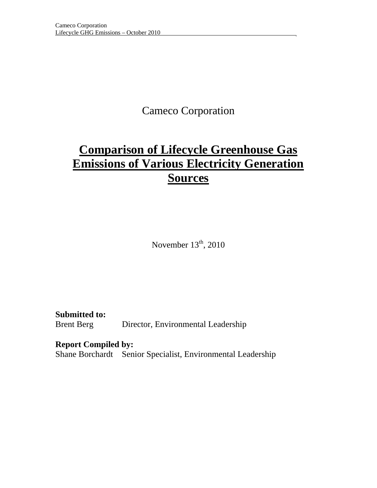## Cameco Corporation

# **Comparison of Lifecycle Greenhouse Gas Emissions of Various Electricity Generation Sources**

November  $13<sup>th</sup>$ , 2010

**Submitted to:**  Brent Berg Director, Environmental Leadership

**Report Compiled by:** 

Shane Borchardt Senior Specialist, Environmental Leadership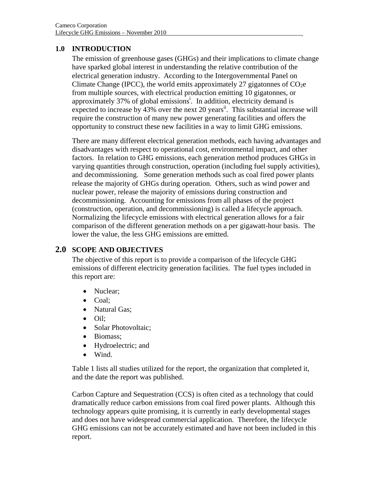#### **1.0 INTRODUCTION**

The emission of greenhouse gases (GHGs) and their implications to climate change have sparked global interest in understanding the relative contribution of the electrical generation industry. According to the Intergovernmental Panel on Climate Change (IPCC), the world emits approximately 27 gigatonnes of  $CO<sub>2</sub>e$ from multiple sources, with electrical production emitting 10 gigatonnes, or approximately 37% of global emissions<sup>i</sup>. In addition, electricity demand is expected to increase by  $43\%$  over the next 20 years<sup>ii</sup>. This substantial increase will require the construction of many new power generating facilities and offers the opportunity to construct these new facilities in a way to limit GHG emissions.

There are many different electrical generation methods, each having advantages and disadvantages with respect to operational cost, environmental impact, and other factors. In relation to GHG emissions, each generation method produces GHGs in varying quantities through construction, operation (including fuel supply activities), and decommissioning. Some generation methods such as coal fired power plants release the majority of GHGs during operation. Others, such as wind power and nuclear power, release the majority of emissions during construction and decommissioning. Accounting for emissions from all phases of the project (construction, operation, and decommissioning) is called a lifecycle approach. Normalizing the lifecycle emissions with electrical generation allows for a fair comparison of the different generation methods on a per gigawatt-hour basis. The lower the value, the less GHG emissions are emitted.

### **2.0 SCOPE AND OBJECTIVES**

The objective of this report is to provide a comparison of the lifecycle GHG emissions of different electricity generation facilities. The fuel types included in this report are:

- Nuclear;
- Coal:
- Natural Gas;
- Oil;
- Solar Photovoltaic;
- Biomass:
- Hydroelectric; and
- Wind.

Table 1 lists all studies utilized for the report, the organization that completed it, and the date the report was published.

Carbon Capture and Sequestration (CCS) is often cited as a technology that could dramatically reduce carbon emissions from coal fired power plants. Although this technology appears quite promising, it is currently in early developmental stages and does not have widespread commercial application. Therefore, the lifecycle GHG emissions can not be accurately estimated and have not been included in this report.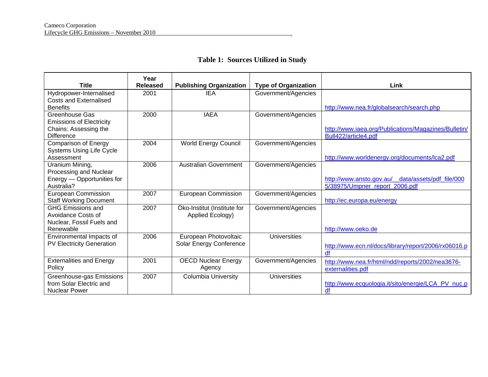### **Table 1: Sources Utilized in Study**

| <b>Title</b>                     | Year<br><b>Released</b> | <b>Publishing Organization</b> | <b>Type of Organization</b> | Link                                                 |
|----------------------------------|-------------------------|--------------------------------|-----------------------------|------------------------------------------------------|
|                                  |                         | <b>IEA</b>                     |                             |                                                      |
| Hydropower-Internalised          | 2001                    |                                | Government/Agencies         |                                                      |
| <b>Costs and Externalised</b>    |                         |                                |                             |                                                      |
| <b>Benefits</b>                  |                         |                                |                             | http://www.nea.fr/globalsearch/search.php            |
| Greenhouse Gas                   | 2000                    | <b>IAEA</b>                    | Government/Agencies         |                                                      |
| <b>Emissions of Electricity</b>  |                         |                                |                             |                                                      |
| Chains: Assessing the            |                         |                                |                             | http://www.iaea.org/Publications/Magazines/Bulletin/ |
| <b>Difference</b>                |                         |                                |                             | Bull422/article4.pdf                                 |
| Comparison of Energy             | 2004                    | <b>World Energy Council</b>    | Government/Agencies         |                                                      |
| <b>Systems Using Life Cycle</b>  |                         |                                |                             |                                                      |
| Assessment                       |                         |                                |                             | http://www.worldenergy.org/documents/lca2.pdf        |
| Uranium Mining,                  | 2006                    | <b>Australian Government</b>   | Government/Agencies         |                                                      |
| Processing and Nuclear           |                         |                                |                             |                                                      |
| Energy - Opportunities for       |                         |                                |                             | http://www.ansto.gov.au/_data/assets/pdf_file/000    |
| Australia?                       |                         |                                |                             | 5/38975/Umpner_report_2006.pdf                       |
| <b>European Commission</b>       | 2007                    | <b>European Commission</b>     | Government/Agencies         |                                                      |
| <b>Staff Working Document</b>    |                         |                                |                             | http://ec.europa.eu/energy                           |
| <b>GHG Emissions and</b>         | 2007                    | Öko-Institut (Institute for    | Government/Agencies         |                                                      |
| Avoidance Costs of               |                         | Applied Ecology)               |                             |                                                      |
| Nuclear, Fossil Fuels and        |                         |                                |                             |                                                      |
| Renewable                        |                         |                                |                             | http://www.oeko.de                                   |
| Environmental Impacts of         | 2006                    | European Photovoltaic          | <b>Universities</b>         |                                                      |
| <b>PV Electricity Generation</b> |                         | Solar Energy Conference        |                             | http://www.ecn.nl/docs/library/report/2006/rx06016.p |
|                                  |                         |                                |                             | df                                                   |
| <b>Externalities and Energy</b>  | 2001                    | <b>OECD Nuclear Energy</b>     | Government/Agencies         |                                                      |
| Policy                           |                         | Agency                         |                             | http://www.nea.fr/html/ndd/reports/2002/nea3676-     |
|                                  |                         |                                |                             | externalities.pdf                                    |
| Greenhouse-gas Emissions         | 2007                    | <b>Columbia University</b>     | <b>Universities</b>         |                                                      |
| from Solar Electric and          |                         |                                |                             | http://www.ecquologia.it/sito/energie/LCA_PV_nuc.p   |
| <b>Nuclear Power</b>             |                         |                                |                             | df                                                   |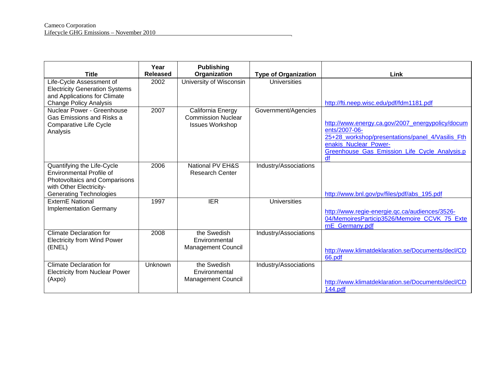| <b>Title</b>                                                                                                                                                | Year<br><b>Released</b> | <b>Publishing</b><br>Organization                                        | <b>Type of Organization</b> | Link                                                                                                                                                                                                  |
|-------------------------------------------------------------------------------------------------------------------------------------------------------------|-------------------------|--------------------------------------------------------------------------|-----------------------------|-------------------------------------------------------------------------------------------------------------------------------------------------------------------------------------------------------|
| Life-Cycle Assessment of<br><b>Electricity Generation Systems</b><br>and Applications for Climate<br><b>Change Policy Analysis</b>                          | 2002                    | University of Wisconsin                                                  | Universities                | http://fti.neep.wisc.edu/pdf/fdm1181.pdf                                                                                                                                                              |
| Nuclear Power - Greenhouse<br>Gas Emissions and Risks a<br>Comparative Life Cycle<br>Analysis                                                               | 2007                    | California Energy<br><b>Commission Nuclear</b><br><b>Issues Workshop</b> | Government/Agencies         | http://www.energy.ca.gov/2007_energypolicy/docum<br>ents/2007-06-<br>25+28 workshop/presentations/panel 4/Vasilis Fth<br>enakis_Nuclear_Power-<br>Greenhouse_Gas_Emission_Life_Cycle_Analysis.p<br>df |
| Quantifying the Life-Cycle<br><b>Environmental Profile of</b><br>Photovoltaics and Comparisons<br>with Other Electricity-<br><b>Generating Technologies</b> | 2006                    | National PV EH&S<br><b>Research Center</b>                               | Industry/Associations       | http://www.bnl.gov/pv/files/pdf/abs_195.pdf                                                                                                                                                           |
| <b>ExternE National</b><br><b>Implementation Germany</b>                                                                                                    | 1997                    | <b>IER</b>                                                               | <b>Universities</b>         | http://www.regie-energie.gc.ca/audiences/3526-<br>04/MemoiresParticip3526/Memoire CCVK 75 Exte<br>rnE Germany.pdf                                                                                     |
| <b>Climate Declaration for</b><br><b>Electricity from Wind Power</b><br>(ENEL)                                                                              | 2008                    | the Swedish<br>Environmental<br><b>Management Council</b>                | Industry/Associations       | http://www.klimatdeklaration.se/Documents/decl/CD<br>66.pdf                                                                                                                                           |
| <b>Climate Declaration for</b><br><b>Electricity from Nuclear Power</b><br>(Axpo)                                                                           | Unknown                 | the Swedish<br>Environmental<br><b>Management Council</b>                | Industry/Associations       | http://www.klimatdeklaration.se/Documents/decl/CD<br>144.pdf                                                                                                                                          |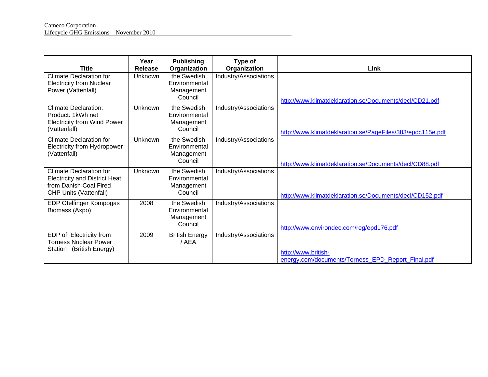| <b>Title</b>                                                                                                                      | Year<br><b>Release</b> | <b>Publishing</b><br>Organization                     | Type of<br>Organization | Link                                                                     |
|-----------------------------------------------------------------------------------------------------------------------------------|------------------------|-------------------------------------------------------|-------------------------|--------------------------------------------------------------------------|
| <b>Climate Declaration for</b><br><b>Electricity from Nuclear</b><br>Power (Vattenfall)                                           | Unknown                | the Swedish<br>Environmental<br>Management<br>Council | Industry/Associations   | http://www.klimatdeklaration.se/Documents/decl/CD21.pdf                  |
| <b>Climate Declaration:</b><br>Product: 1kWh net<br><b>Electricity from Wind Power</b><br>(Vattenfall)                            | Unknown                | the Swedish<br>Environmental<br>Management<br>Council | Industry/Associations   | http://www.klimatdeklaration.se/PageFiles/383/epdc115e.pdf               |
| Climate Declaration for<br>Electricity from Hydropower<br>(Vattenfall)                                                            | <b>Unknown</b>         | the Swedish<br>Environmental<br>Management<br>Council | Industry/Associations   | http://www.klimatdeklaration.se/Documents/decl/CD88.pdf                  |
| <b>Climate Declaration for</b><br><b>Electricity and District Heat</b><br>from Danish Coal Fired<br><b>CHP Units (Vattenfall)</b> | Unknown                | the Swedish<br>Environmental<br>Management<br>Council | Industry/Associations   | http://www.klimatdeklaration.se/Documents/decl/CD152.pdf                 |
| EDP Otelfinger Kompogas<br>Biomass (Axpo)                                                                                         | 2008                   | the Swedish<br>Environmental<br>Management<br>Council | Industry/Associations   | http://www.environdec.com/reg/epd176.pdf                                 |
| EDP of Electricity from<br><b>Torness Nuclear Power</b><br>Station (British Energy)                                               | 2009                   | <b>British Energy</b><br>/ AEA                        | Industry/Associations   | http://www.british-<br>energy.com/documents/Torness_EPD_Report_Final.pdf |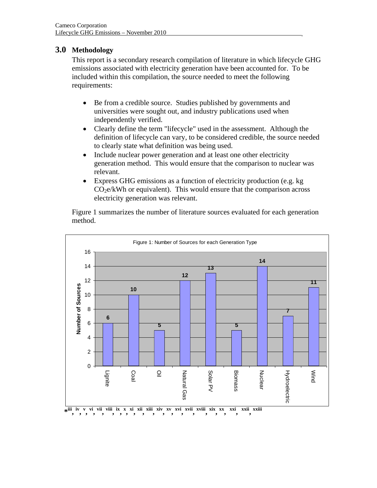### **3.0 Methodology**

This report is a secondary research compilation of literature in which lifecycle GHG emissions associated with electricity generation have been accounted for. To be included within this compilation, the source needed to meet the following requirements:

- Be from a credible source. Studies published by governments and universities were sought out, and industry publications used when independently verified.
- Clearly define the term "lifecycle" used in the assessment. Although the definition of lifecycle can vary, to be considered credible, the source needed to clearly state what definition was being used.
- Include nuclear power generation and at least one other electricity generation method. This would ensure that the comparison to nuclear was relevant.
- Express GHG emissions as a function of electricity production (e.g. kg  $CO<sub>2</sub>e/kWh$  or equivalent). This would ensure that the comparison across electricity generation was relevant.

Figure 1 summarizes the number of literature sources evaluated for each generation method.

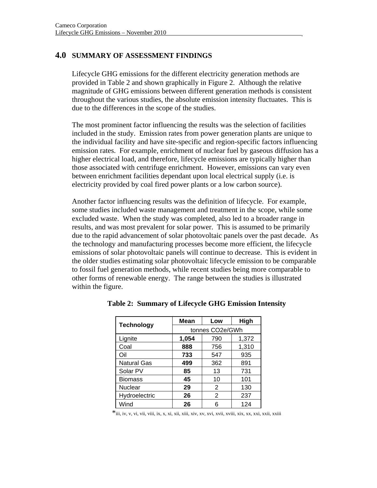#### **4.0 SUMMARY OF ASSESSMENT FINDINGS**

Lifecycle GHG emissions for the different electricity generation methods are provided in Table 2 and shown graphically in Figure 2. Although the relative magnitude of GHG emissions between different generation methods is consistent throughout the various studies, the absolute emission intensity fluctuates. This is due to the differences in the scope of the studies.

The most prominent factor influencing the results was the selection of facilities included in the study. Emission rates from power generation plants are unique to the individual facility and have site-specific and region-specific factors influencing emission rates. For example, enrichment of nuclear fuel by gaseous diffusion has a higher electrical load, and therefore, lifecycle emissions are typically higher than those associated with centrifuge enrichment. However, emissions can vary even between enrichment facilities dependant upon local electrical supply (i.e. is electricity provided by coal fired power plants or a low carbon source).

Another factor influencing results was the definition of lifecycle. For example, some studies included waste management and treatment in the scope, while some excluded waste. When the study was completed, also led to a broader range in results, and was most prevalent for solar power. This is assumed to be primarily due to the rapid advancement of solar photovoltaic panels over the past decade. As the technology and manufacturing processes become more efficient, the lifecycle emissions of solar photovoltaic panels will continue to decrease. This is evident in the older studies estimating solar photovoltaic lifecycle emission to be comparable to fossil fuel generation methods, while recent studies being more comparable to other forms of renewable energy. The range between the studies is illustrated within the figure.

| <b>Technology</b>  | Mean            | Low | High  |  |
|--------------------|-----------------|-----|-------|--|
|                    | tonnes CO2e/GWh |     |       |  |
| Lignite            | 1,054           | 790 | 1,372 |  |
| Coal               | 888             | 756 | 1,310 |  |
| Oil                | 733             | 547 | 935   |  |
| <b>Natural Gas</b> | 499             | 362 | 891   |  |
| Solar PV           | 85              | 13  | 731   |  |
| <b>Biomass</b>     | 45              | 10  | 101   |  |
| Nuclear            | 29              | 2   | 130   |  |
| Hydroelectric      | 26              | 2   | 237   |  |
| Wind               | 26              | հ   | 124   |  |

**Table 2: Summary of Lifecycle GHG Emission Intensity** 

\*iii, iv, v, vi, vii, viii, ix, x, xi, xii, xiii, xiv, xv, xvi, xvii, xviii, xix, xx, xxi, xxii, xxiii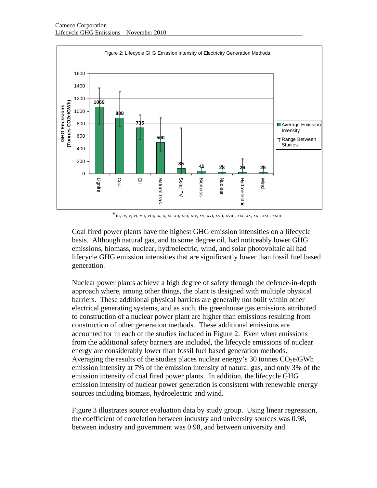

\*iii, iv, v, vi, vii, viii, ix, x, xi, xii, xiii, xiv, xv, xvi, xvii, xviii, xix, xx, xxi, xxii, xxiii

Coal fired power plants have the highest GHG emission intensities on a lifecycle basis. Although natural gas, and to some degree oil, had noticeably lower GHG emissions, biomass, nuclear, hydroelectric, wind, and solar photovoltaic all had lifecycle GHG emission intensities that are significantly lower than fossil fuel based generation.

Nuclear power plants achieve a high degree of safety through the defence-in-depth approach where, among other things, the plant is designed with multiple physical barriers. These additional physical barriers are generally not built within other electrical generating systems, and as such, the greenhouse gas emissions attributed to construction of a nuclear power plant are higher than emissions resulting from construction of other generation methods. These additional emissions are accounted for in each of the studies included in Figure 2. Even when emissions from the additional safety barriers are included, the lifecycle emissions of nuclear energy are considerably lower than fossil fuel based generation methods. Averaging the results of the studies places nuclear energy's 30 tonnes  $CO<sub>2</sub>e/GWh$ emission intensity at 7% of the emission intensity of natural gas, and only 3% of the emission intensity of coal fired power plants. In addition, the lifecycle GHG emission intensity of nuclear power generation is consistent with renewable energy sources including biomass, hydroelectric and wind.

Figure 3 illustrates source evaluation data by study group. Using linear regression, the coefficient of correlation between industry and university sources was 0.98, between industry and government was 0.98, and between university and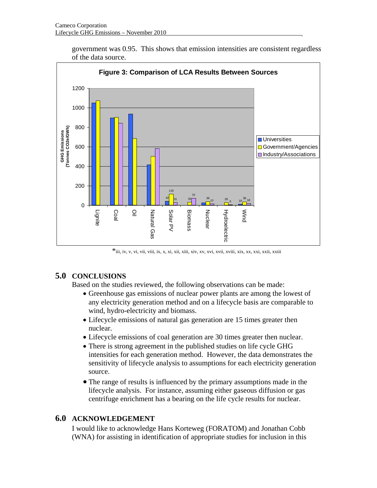government was 0.95. This shows that emission intensities are consistent regardless of the data source.



### **5.0 CONCLUSIONS**

Based on the studies reviewed, the following observations can be made:

- Greenhouse gas emissions of nuclear power plants are among the lowest of any electricity generation method and on a lifecycle basis are comparable to wind, hydro-electricity and biomass.
- Lifecycle emissions of natural gas generation are 15 times greater then nuclear.
- Lifecycle emissions of coal generation are 30 times greater then nuclear.
- There is strong agreement in the published studies on life cycle GHG intensities for each generation method. However, the data demonstrates the sensitivity of lifecycle analysis to assumptions for each electricity generation source.
- The range of results is influenced by the primary assumptions made in the lifecycle analysis. For instance, assuming either gaseous diffusion or gas centrifuge enrichment has a bearing on the life cycle results for nuclear.

#### **6.0 ACKNOWLEDGEMENT**

I would like to acknowledge Hans Korteweg (FORATOM) and Jonathan Cobb (WNA) for assisting in identification of appropriate studies for inclusion in this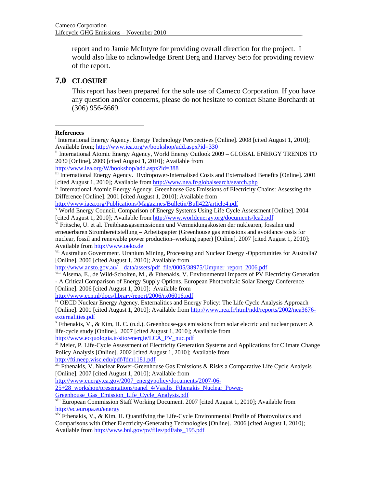report and to Jamie McIntyre for providing overall direction for the project. I would also like to acknowledge Brent Berg and Harvey Seto for providing review of the report.

#### **7.0 CLOSURE**

This report has been prepared for the sole use of Cameco Corporation. If you have any question and/or concerns, please do not hesitate to contact Shane Borchardt at (306) 956-6669.

#### **References**

 $\overline{a}$ 

http://www.iaea.org/Publications/Magazines/Bulletin/Bull422/article4.pdf

vii Australian Government. Uranium Mining, Processing and Nuclear Energy -Opportunities for Australia? [Online]. 2006 [cited August 1, 2010]; Available from

http://www.ansto.gov.au/\_\_data/assets/pdf\_file/0005/38975/Umpner\_report\_2006.pdf

 $v<sub>iii</sub>$  Alsema, E., de Wild-Scholten, M.,  $\&$  Fthenakis, V. Environmental Impacts of PV Electricity Generation - A Critical Comparison of Energy Supply Options. European Photovoltaic Solar Energy Conference [Online]. 2006 [cited August 1, 2010]; Available from

http://www.ecn.nl/docs/library/report/2006/rx06016.pdf<br>ix OECD Nuclear Energy Agency. Externalities and Energy Policy: The Life Cycle Analysis Approach [Online]. 2001 [cited August 1, 2010]; Available from http://www.nea.fr/html/ndd/reports/2002/nea3676 externalities.pdf

<sup>x</sup> Fthenakis,  $V_{.}, \&$  Kim, H. C. (n.d.). Greenhouse-gas emissions from solar electric and nuclear power: A life-cycle study [Online]. 2007 [cited August 1, 2010]; Available from http://www.ecquologia.it/sito/energie/LCA PV nuc.pdf

 $\frac{x_i}{x_i}$  Meier, P. Life-Cycle Assessment of Electricity Generation Systems and Applications for Climate Change Policy Analysis [Online]. 2002 [cited August 1, 2010]; Available from http://fti.neep.wisc.edu/pdf/fdm1181.pdf

xii Fthenakis, V. Nuclear Power-Greenhouse Gas Emissions & Risks a Comparative Life Cycle Analysis [Online]. 2007 [cited August 1, 2010]; Available from

http://www.energy.ca.gov/2007\_energypolicy/documents/2007-06-

25+28\_workshop/presentations/panel\_4/Vasilis\_Fthenakis\_Nuclear\_Power-Greenhouse\_Gas\_Emission\_Life\_Cycle\_Analysis.pdf

xiii European Commission Staff Working Document. 2007 [cited August 1, 2010]; Available from http://ec.europa.eu/energy

 $x^{\text{inv}}$  Fthenakis, V., & Kim, H. Quantifying the Life-Cycle Environmental Profile of Photovoltaics and Comparisons with Other Electricity-Generating Technologies [Online]. 2006 [cited August 1, 2010]; Available from http://www.bnl.gov/pv/files/pdf/abs\_195.pdf

<sup>&</sup>lt;sup>i</sup> International Energy Agency. Energy Technology Perspectives [Online]. 2008 [cited August 1, 2010]; Available from; http://www.iea.org/w/bookshop/add.aspx?id=330<br>ii International Atomic Energy Agency, World Energy Outlook 2009 – GLOBAL ENERGY TRENDS TO

<sup>2030 [</sup>Online], 2009 [cited August 1, 2010]; Available from

http://www.iea.org/W/bookshop/add.aspx?id=388<br>iii International Energy Agency. Hydropower-Internalised Costs and Externalised Benefits [Online]. 2001 [cited August 1, 2010]; Available from http://www.nea.fr/globalsearch/search.php

<sup>&</sup>lt;sup>iv</sup> International Atomic Energy Agency. Greenhouse Gas Emissions of Electricity Chains: Assessing the Difference [Online]. 2001 [cited August 1, 2010]; Available from

<sup>&</sup>lt;sup>v</sup> World Energy Council. Comparison of Energy Systems Using Life Cycle Assessment [Online]. 2004 [cited August 1, 2010]; Available from http://www.worldenergy.org/documents/lca2.pdf

vi Fritsche, U. et al. Treibhausgasemissionen und Vermeidungskosten der nuklearen, fossilen und erneuerbaren Strombereitstellung – Arbeitspapier (Greenhouse gas emissions and avoidance costs for nuclear, fossil and renewable power production–working paper) [Online]. 2007 [cited August 1, 2010]; Available from http://www.oeko.de